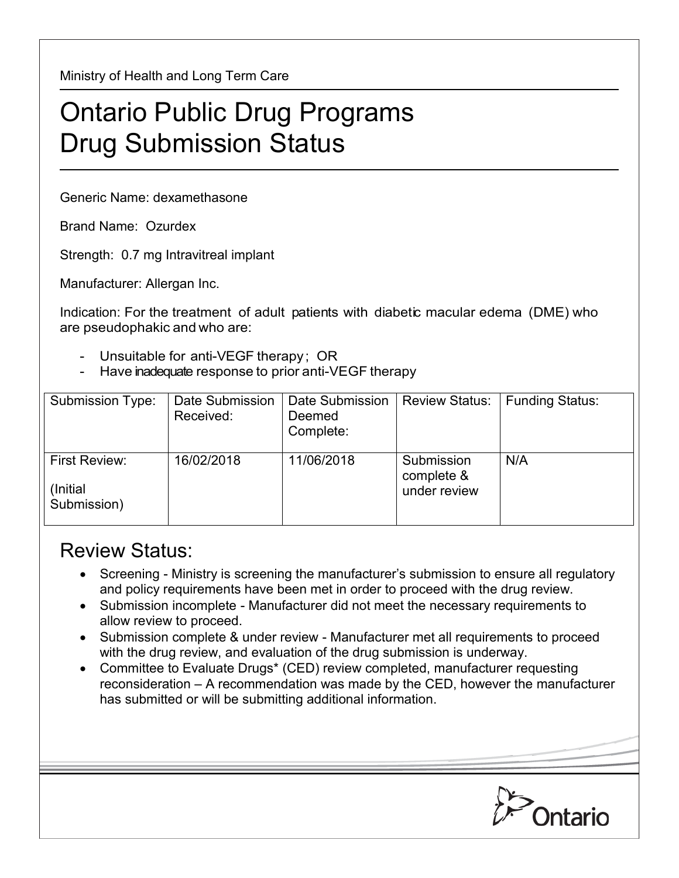Ministry of Health and Long Term Care

## Ontario Public Drug Programs Drug Submission Status

Generic Name: dexamethasone

Brand Name: Ozurdex

Strength: 0.7 mg Intravitreal implant

Manufacturer: Allergan Inc.

Indication: For the treatment of adult patients with diabetic macular edema (DME) who are pseudophakic and who are:

- Unsuitable for anti-VEGF therapy; OR
- Have inadequate response to prior anti-VEGF therapy

| Submission Type:                          | Date Submission<br>Received: | Date Submission<br>Deemed<br>Complete: | <b>Review Status:</b>                    | <b>Funding Status:</b> |
|-------------------------------------------|------------------------------|----------------------------------------|------------------------------------------|------------------------|
| First Review:<br>(Initial)<br>Submission) | 16/02/2018                   | 11/06/2018                             | Submission<br>complete &<br>under review | N/A                    |

## Review Status:

- Screening Ministry is screening the manufacturer's submission to ensure all regulatory and policy requirements have been met in order to proceed with the drug review.
- Submission incomplete Manufacturer did not meet the necessary requirements to allow review to proceed.
- Submission complete & under review Manufacturer met all requirements to proceed with the drug review, and evaluation of the drug submission is underway.
- Committee to Evaluate Drugs\* (CED) review completed, manufacturer requesting reconsideration – A recommendation was made by the CED, however the manufacturer has submitted or will be submitting additional information.